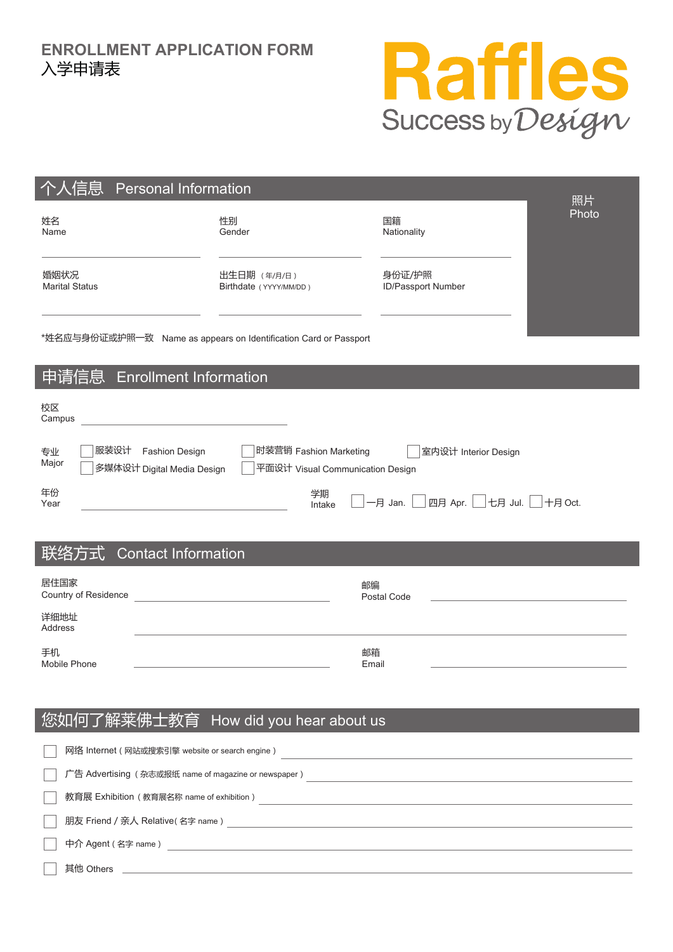

| 个人信息<br><b>Personal Information</b><br>照片                                                                                                              |                                        |                              |       |  |  |  |  |
|--------------------------------------------------------------------------------------------------------------------------------------------------------|----------------------------------------|------------------------------|-------|--|--|--|--|
| 姓名<br>Name                                                                                                                                             | 性别<br>Gender                           | 国籍<br>Nationality            | Photo |  |  |  |  |
| 婚姻状况<br><b>Marital Status</b>                                                                                                                          | 出生日期 (年/月/日)<br>Birthdate (YYYY/MM/DD) | 身份证/护照<br>ID/Passport Number |       |  |  |  |  |
| *姓名应与身份证或护照一致 Name as appears on Identification Card or Passport                                                                                       |                                        |                              |       |  |  |  |  |
| <u>申</u> 请信息<br><b>Enrollment Information</b>                                                                                                          |                                        |                              |       |  |  |  |  |
| 校区<br><u> 1980 - Johann Barn, mars an t-Amerikaansk ferske område og de formanne</u><br>Campus                                                         |                                        |                              |       |  |  |  |  |
| 服装设计 Fashion Design<br>时装营销 Fashion Marketing<br>室内设计 Interior Design<br>专业<br>Major<br>多媒体设计 Digital Media Design<br>平面设计 Visual Communication Design |                                        |                              |       |  |  |  |  |
| 年份<br>学期<br>四月 Apr.   七月 Jul.   十月 Oct.<br>一月 Jan.<br>Year<br>Intake                                                                                   |                                        |                              |       |  |  |  |  |
| 联络方式<br><b>Contact Information</b>                                                                                                                     |                                        |                              |       |  |  |  |  |
| 居住国家<br>Country of Residence<br>详细地址                                                                                                                   | 邮编                                     | Postal Code                  |       |  |  |  |  |
| Address                                                                                                                                                |                                        |                              |       |  |  |  |  |
| 手机<br>Mobile Phone                                                                                                                                     | 邮箱<br>Email                            |                              |       |  |  |  |  |
| 您如何了<br>解莱佛士教育<br>How did you hear about us                                                                                                            |                                        |                              |       |  |  |  |  |

| 网络 Internet ( 网站或搜索引擎 website or search engine )     |
|------------------------------------------------------|
| 广告 Advertising (杂志或报纸 name of magazine or newspaper) |
| 教育展 Exhibition (教育展名称 name of exhibition)            |
| 朋友 Friend / 亲人 Relative(名字 name)                     |
| 中介 Agent (名字 name)                                   |
| 其他 Others                                            |